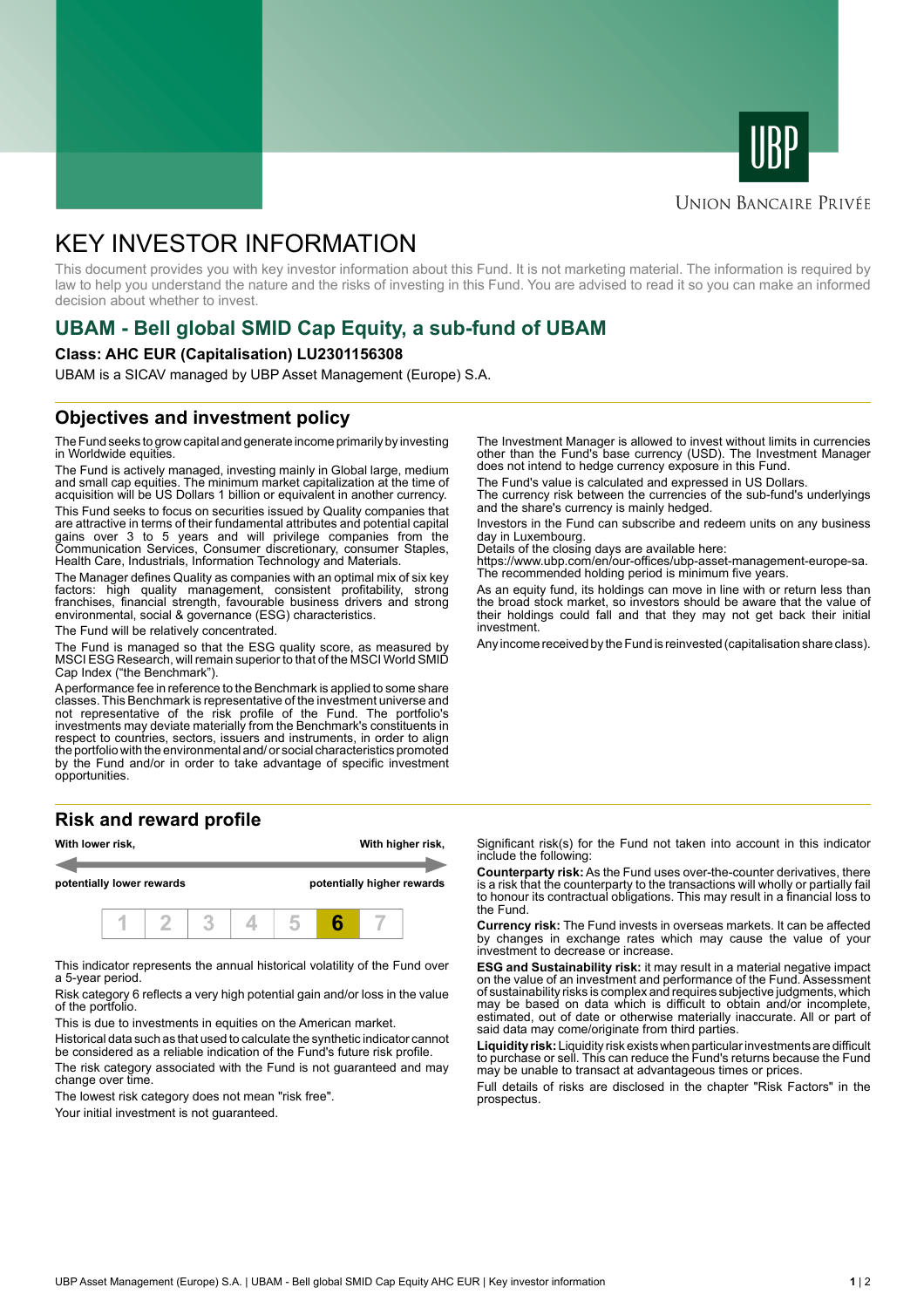



### **UNION BANCAIRE PRIVÉE**

# KEY INVESTOR INFORMATION

This document provides you with key investor information about this Fund. It is not marketing material. The information is required by law to help you understand the nature and the risks of investing in this Fund. You are advised to read it so you can make an informed decision about whether to invest.

# **UBAM - Bell global SMID Cap Equity, a sub-fund of UBAM**

#### **Class: AHC EUR (Capitalisation) LU2301156308**

UBAM is a SICAV managed by UBP Asset Management (Europe) S.A.

## **Objectives and investment policy**

The Fund seeks to grow capital and generate income primarily by investing in Worldwide equities.

The Fund is actively managed, investing mainly in Global large, medium and small cap equities. The minimum market capitalization at the time of acquisition will be US Dollars 1 billion or equivalent in another currency.

This Fund seeks to focus on securities issued by Quality companies that are attractive in terms of their fundamental attributes and potential capital gains over 3 to 5 years and will privilege companies from the Communication Services, Consumer discretionary, consumer Staples, Health Care, Industrials, Information Technology and Materials.

The Manager defines Quality as companies with an optimal mix of six key factors: high quality management, consistent profitability, strong franchises, financial strength, favourable business drivers and strong environmental, social & governance (ESG) characteristics.

The Fund will be relatively concentrated.

The Fund is managed so that the ESG quality score, as measured by MSCI ESG Research, will remain superior to that of the MSCI World SMID Cap Index ("the Benchmark").

A performance fee in reference to the Benchmark is applied to some share classes. This Benchmark is representative of the investment universe and not representative of the risk profile of the Fund. The portfolio's investments may deviate materially from the Benchmark's constituents in respect to countries, sectors, issuers and instruments, in order to align the portfolio with the environmental and/ or social characteristics promoted by the Fund and/or in order to take advantage of specific investment opportunities.

#### **Risk and reward profile**



This indicator represents the annual historical volatility of the Fund over a 5-year period.

Risk category 6 reflects a very high potential gain and/or loss in the value of the portfolio.

This is due to investments in equities on the American market.

Historical data such as that used to calculate the synthetic indicator cannot be considered as a reliable indication of the Fund's future risk profile.

The risk category associated with the Fund is not guaranteed and may change over time.

The lowest risk category does not mean "risk free".

Your initial investment is not quaranteed.

The Investment Manager is allowed to invest without limits in currencies other than the Fund's base currency (USD). The Investment Manager does not intend to hedge currency exposure in this Fund.

The Fund's value is calculated and expressed in US Dollars.

The currency risk between the currencies of the sub-fund's underlyings and the share's currency is mainly hedged.

Investors in the Fund can subscribe and redeem units on any business day in Luxembourg.

Details of the closing days are available here:

https://www.ubp.com/en/our-offices/ubp-asset-management-europe-sa. The recommended holding period is minimum five years.

As an equity fund, its holdings can move in line with or return less than the broad stock market, so investors should be aware that the value of their holdings could fall and that they may not get back their initial investment.

Any income received by the Fund is reinvested (capitalisation share class).

Significant risk(s) for the Fund not taken into account in this indicator include the following:

**Counterparty risk:** As the Fund uses over-the-counter derivatives, there is a risk that the counterparty to the transactions will wholly or partially fail to honour its contractual obligations. This may result in a financial loss to the Fund.

**Currency risk:** The Fund invests in overseas markets. It can be affected by changes in exchange rates which may cause the value of your investment to decrease or increase.

**ESG and Sustainability risk:** it may result in a material negative impact on the value of an investment and performance of the Fund. Assessment of sustainability risks is complex and requires subjective judgments, which may be based on data which is difficult to obtain and/or incomplete, estimated, out of date or otherwise materially inaccurate. All or part of said data may come/originate from third parties.

**Liquidity risk:** Liquidity risk exists when particular investments are difficult to purchase or sell. This can reduce the Fund's returns because the Fund may be unable to transact at advantageous times or prices.

Full details of risks are disclosed in the chapter "Risk Factors" in the prospectus.